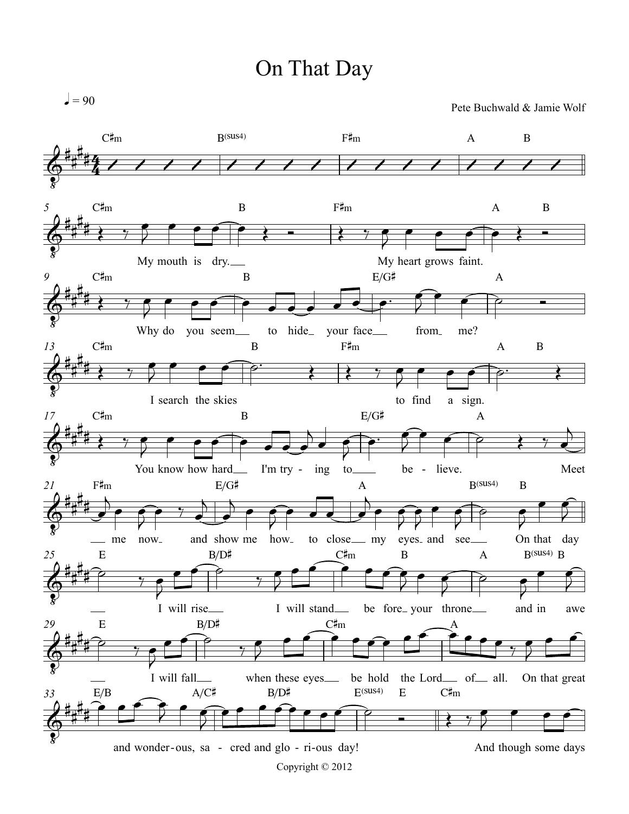## On That Day

 $=90$ 

Pete Buchwald & Jamie Wolf

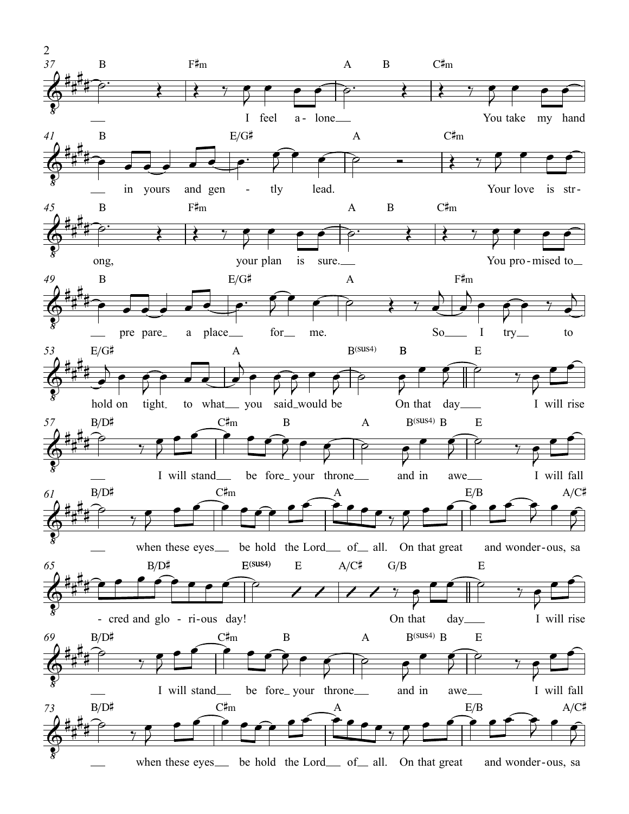